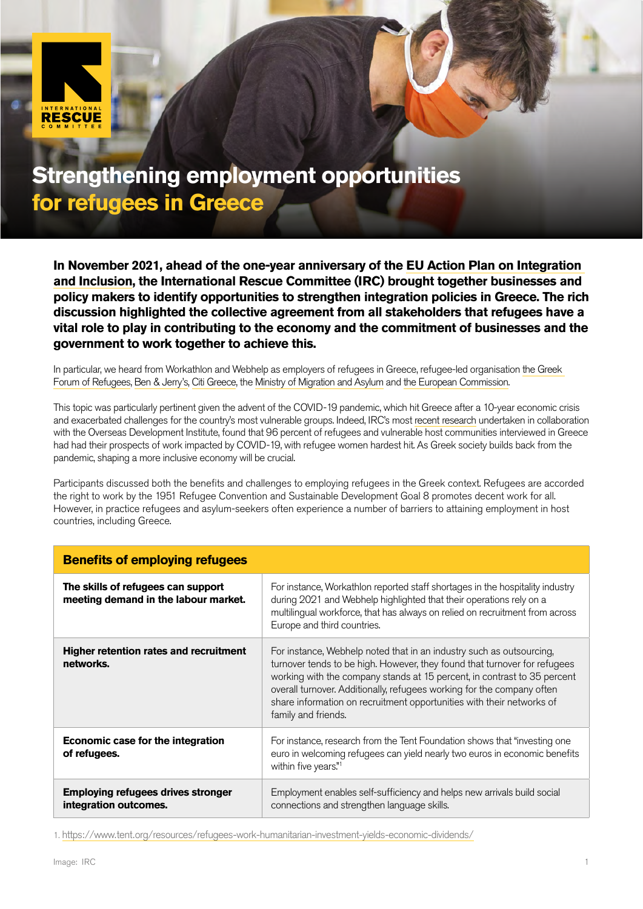

## **Strengthening employment opportunities for refugees in Greece**

**In November 2021, ahead of the one-year anniversary of the [EU Action Plan on Integration](https://ec.europa.eu/migrant-integration/news/ec-reveals-its-new-eu-action-plan-integration-and-inclusion-2021-2027_en)  [and Inclusion,](https://ec.europa.eu/migrant-integration/news/ec-reveals-its-new-eu-action-plan-integration-and-inclusion-2021-2027_en) the International Rescue Committee (IRC) brought together businesses and policy makers to identify opportunities to strengthen integration policies in Greece. The rich discussion highlighted the collective agreement from all stakeholders that refugees have a vital role to play in contributing to the economy and the commitment of businesses and the government to work together to achieve this.** 

In particular, we heard from Workathlon and Webhelp as employers of refugees in Greece, refugee-led organisation [the Greek](https://refugees.gr/)  [Forum of Refugees](https://refugees.gr/), [Ben & Jerry's](https://www.benjerry.co.uk/values/ice-academy), [Citi Greece](https://www.rescue-uk.org/Citi), the [Ministry of Migration and Asylum](https://migration.gov.gr/) and [the European Commission](https://ec.europa.eu/home-affairs/index_en).

This topic was particularly pertinent given the advent of the COVID-19 pandemic, which hit Greece after a 10-year economic crisis and exacerbated challenges for the country's most vulnerable groups. Indeed, IRC's most [recent research](https://www.rescue-uk.org/sites/default/files/document/2633/coviddisplacementandgenderinequalityweb1.pdf) undertaken in collaboration with the Overseas Development Institute, found that 96 percent of refugees and vulnerable host communities interviewed in Greece had had their prospects of work impacted by COVID-19, with refugee women hardest hit. As Greek society builds back from the pandemic, shaping a more inclusive economy will be crucial.

Participants discussed both the benefits and challenges to employing refugees in the Greek context. Refugees are accorded the right to work by the 1951 Refugee Convention and Sustainable Development Goal 8 promotes decent work for all. However, in practice refugees and asylum-seekers often experience a number of barriers to attaining employment in host countries, including Greece.

| <b>Benefits of employing refugees</b>                                      |                                                                                                                                                                                                                                                                                                                                                                                                         |
|----------------------------------------------------------------------------|---------------------------------------------------------------------------------------------------------------------------------------------------------------------------------------------------------------------------------------------------------------------------------------------------------------------------------------------------------------------------------------------------------|
| The skills of refugees can support<br>meeting demand in the labour market. | For instance, Workathlon reported staff shortages in the hospitality industry<br>during 2021 and Webhelp highlighted that their operations rely on a<br>multilingual workforce, that has always on relied on recruitment from across<br>Europe and third countries.                                                                                                                                     |
| Higher retention rates and recruitment<br>networks.                        | For instance, Webhelp noted that in an industry such as outsourcing,<br>turnover tends to be high. However, they found that turnover for refugees<br>working with the company stands at 15 percent, in contrast to 35 percent<br>overall turnover. Additionally, refugees working for the company often<br>share information on recruitment opportunities with their networks of<br>family and friends. |
| Economic case for the integration<br>of refugees.                          | For instance, research from the Tent Foundation shows that "investing one"<br>euro in welcoming refugees can yield nearly two euros in economic benefits<br>within five years."1                                                                                                                                                                                                                        |
| <b>Employing refugees drives stronger</b><br>integration outcomes.         | Employment enables self-sufficiency and helps new arrivals build social<br>connections and strengthen language skills.                                                                                                                                                                                                                                                                                  |

1. <https://www.tent.org/resources/refugees-work-humanitarian-investment-yields-economic-dividends/>